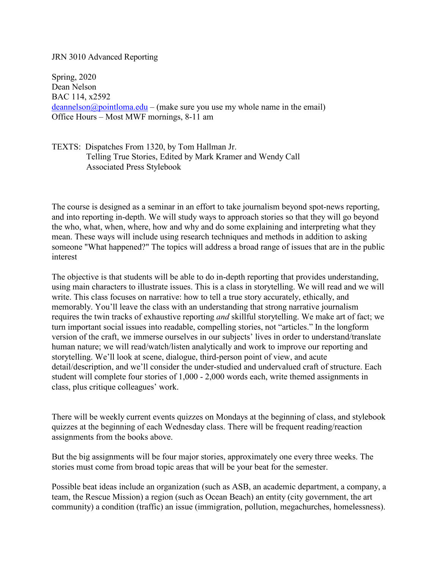## JRN 3010 Advanced Reporting

Spring, 2020 Dean Nelson BAC 114, x2592  $deannelson@pointloma.edu - (make sure you use my whole name in the email)$  $deannelson@pointloma.edu - (make sure you use my whole name in the email)$ Office Hours – Most MWF mornings, 8-11 am

TEXTS: Dispatches From 1320, by Tom Hallman Jr. Telling True Stories, Edited by Mark Kramer and Wendy Call Associated Press Stylebook

The course is designed as a seminar in an effort to take journalism beyond spot-news reporting, and into reporting in-depth. We will study ways to approach stories so that they will go beyond the who, what, when, where, how and why and do some explaining and interpreting what they mean. These ways will include using research techniques and methods in addition to asking someone "What happened?" The topics will address a broad range of issues that are in the public interest

The objective is that students will be able to do in-depth reporting that provides understanding, using main characters to illustrate issues. This is a class in storytelling. We will read and we will write. This class focuses on narrative: how to tell a true story accurately, ethically, and memorably. You'll leave the class with an understanding that strong narrative journalism requires the twin tracks of exhaustive reporting *and* skillful storytelling. We make art of fact; we turn important social issues into readable, compelling stories, not "articles." In the longform version of the craft, we immerse ourselves in our subjects' lives in order to understand/translate human nature; we will read/watch/listen analytically and work to improve our reporting and storytelling. We'll look at scene, dialogue, third-person point of view, and acute detail/description, and we'll consider the under-studied and undervalued craft of structure. Each student will complete four stories of 1,000 - 2,000 words each, write themed assignments in class, plus critique colleagues' work.

There will be weekly current events quizzes on Mondays at the beginning of class, and stylebook quizzes at the beginning of each Wednesday class. There will be frequent reading/reaction assignments from the books above.

But the big assignments will be four major stories, approximately one every three weeks. The stories must come from broad topic areas that will be your beat for the semester.

Possible beat ideas include an organization (such as ASB, an academic department, a company, a team, the Rescue Mission) a region (such as Ocean Beach) an entity (city government, the art community) a condition (traffic) an issue (immigration, pollution, megachurches, homelessness).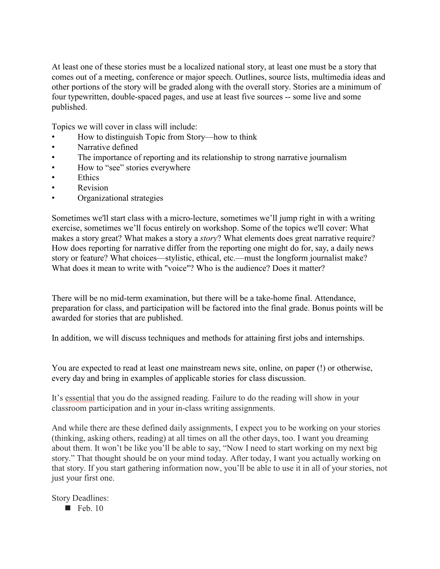At least one of these stories must be a localized national story, at least one must be a story that comes out of a meeting, conference or major speech. Outlines, source lists, multimedia ideas and other portions of the story will be graded along with the overall story. Stories are a minimum of four typewritten, double-spaced pages, and use at least five sources -- some live and some published.

Topics we will cover in class will include:

- How to distinguish Topic from Story—how to think
- Narrative defined
- The importance of reporting and its relationship to strong narrative journalism
- How to "see" stories everywhere
- **Ethics**
- Revision
- Organizational strategies

Sometimes we'll start class with a micro-lecture, sometimes we'll jump right in with a writing exercise, sometimes we'll focus entirely on workshop. Some of the topics we'll cover: What makes a story great? What makes a story a *story*? What elements does great narrative require? How does reporting for narrative differ from the reporting one might do for, say, a daily news story or feature? What choices—stylistic, ethical, etc.—must the longform journalist make? What does it mean to write with "voice"? Who is the audience? Does it matter?

There will be no mid-term examination, but there will be a take-home final. Attendance, preparation for class, and participation will be factored into the final grade. Bonus points will be awarded for stories that are published.

In addition, we will discuss techniques and methods for attaining first jobs and internships.

You are expected to read at least one mainstream news site, online, on paper (!) or otherwise, every day and bring in examples of applicable stories for class discussion.

It's essential that you do the assigned reading. Failure to do the reading will show in your classroom participation and in your in-class writing assignments.

And while there are these defined daily assignments, I expect you to be working on your stories (thinking, asking others, reading) at all times on all the other days, too. I want you dreaming about them. It won't be like you'll be able to say, "Now I need to start working on my next big story." That thought should be on your mind today. After today, I want you actually working on that story. If you start gathering information now, you'll be able to use it in all of your stories, not just your first one.

Story Deadlines:

 $\blacksquare$  Feb. 10